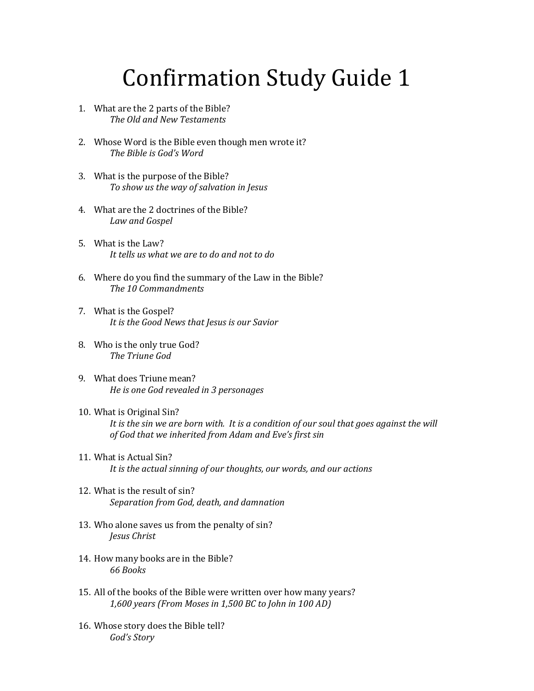## Confirmation Study Guide 1

- 1. What are the 2 parts of the Bible? *The Old and New Testaments*
- 2. Whose Word is the Bible even though men wrote it? *The Bible is God's Word*
- 3. What is the purpose of the Bible? *To show us the way of salvation in Jesus*
- 4. What are the 2 doctrines of the Bible? *Law and Gospel*
- 5. What is the Law? *It tells us what we are to do and not to do*
- 6. Where do you find the summary of the Law in the Bible? *The 10 Commandments*
- 7. What is the Gospel? *It is the Good News that Jesus is our Savior*
- 8. Who is the only true God? *The Triune God*
- 9. What does Triune mean? *He is one God revealed in 3 personages*
- 10. What is Original Sin? *It is the sin we are born with. It is a condition of our soul that goes against the will of God that we inherited from Adam and Eve's first sin*
- 11. What is Actual Sin? *It is the actual sinning of our thoughts, our words, and our actions*
- 12. What is the result of sin? *Separation from God, death, and damnation*
- 13. Who alone saves us from the penalty of sin? *Jesus Christ*
- 14. How many books are in the Bible? *66 Books*
- 15. All of the books of the Bible were written over how many years? *1,600 years (From Moses in 1,500 BC to John in 100 AD)*
- 16. Whose story does the Bible tell? *God's Story*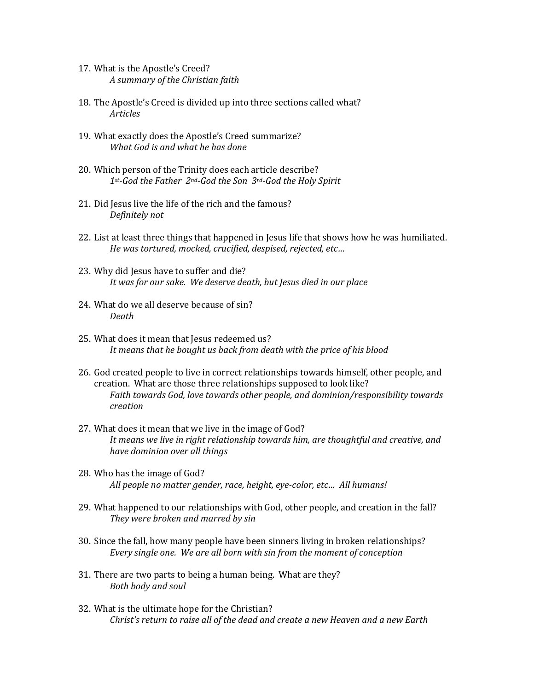- 17. What is the Apostle's Creed? *A summary of the Christian faith*
- 18. The Apostle's Creed is divided up into three sections called what? *Articles*
- 19. What exactly does the Apostle's Creed summarize? *What God is and what he has done*
- 20. Which person of the Trinity does each article describe? *1st-God the Father 2nd-God the Son 3rd-God the Holy Spirit*
- 21. Did Jesus live the life of the rich and the famous? *Definitely not*
- 22. List at least three things that happened in Jesus life that shows how he was humiliated. *He was tortured, mocked, crucified, despised, rejected, etc…*
- 23. Why did Jesus have to suffer and die? *It was for our sake. We deserve death, but Jesus died in our place*
- 24. What do we all deserve because of sin? *Death*
- 25. What does it mean that Jesus redeemed us? *It means that he bought us back from death with the price of his blood*
- 26. God created people to live in correct relationships towards himself, other people, and creation. What are those three relationships supposed to look like? *Faith towards God, love towards other people, and dominion/responsibility towards creation*
- 27. What does it mean that we live in the image of God? *It means we live in right relationship towards him, are thoughtful and creative, and have dominion over all things*
- 28. Who has the image of God? *All people no matter gender, race, height, eye-color, etc… All humans!*
- 29. What happened to our relationships with God, other people, and creation in the fall? *They were broken and marred by sin*
- 30. Since the fall, how many people have been sinners living in broken relationships? *Every single one. We are all born with sin from the moment of conception*
- 31. There are two parts to being a human being. What are they? *Both body and soul*
- 32. What is the ultimate hope for the Christian? *Christ's return to raise all of the dead and create a new Heaven and a new Earth*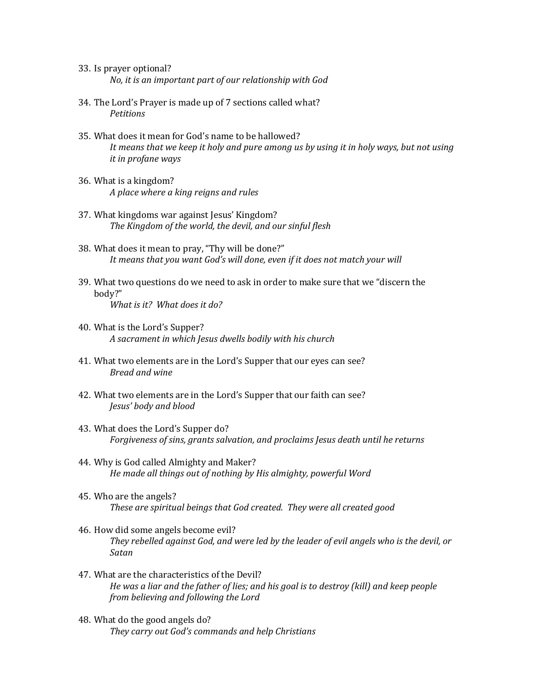- 33. Is prayer optional? *No, it is an important part of our relationship with God*
- 34. The Lord's Prayer is made up of 7 sections called what? *Petitions*
- 35. What does it mean for God's name to be hallowed? *It means that we keep it holy and pure among us by using it in holy ways, but not using it in profane ways*
- 36. What is a kingdom? *A place where a king reigns and rules*
- 37. What kingdoms war against Jesus' Kingdom? *The Kingdom of the world, the devil, and our sinful flesh*
- 38. What does it mean to pray, "Thy will be done?" *It means that you want God's will done, even if it does not match your will*
- 39. What two questions do we need to ask in order to make sure that we "discern the body?" *What is it? What does it do?*
- 40. What is the Lord's Supper? *A sacrament in which Jesus dwells bodily with his church*
- 41. What two elements are in the Lord's Supper that our eyes can see? *Bread and wine*
- 42. What two elements are in the Lord's Supper that our faith can see? *Jesus' body and blood*
- 43. What does the Lord's Supper do? *Forgiveness of sins, grants salvation, and proclaims Jesus death until he returns*
- 44. Why is God called Almighty and Maker? *He made all things out of nothing by His almighty, powerful Word*
- 45. Who are the angels? *These are spiritual beings that God created. They were all created good*
- 46. How did some angels become evil? *They rebelled against God, and were led by the leader of evil angels who is the devil, or Satan*
- 47. What are the characteristics of the Devil? *He was a liar and the father of lies; and his goal is to destroy (kill) and keep people from believing and following the Lord*
- 48. What do the good angels do? *They carry out God's commands and help Christians*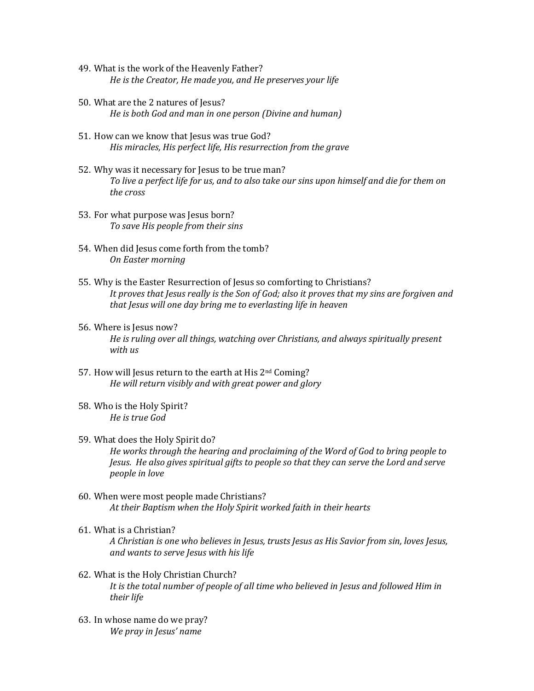- 49. What is the work of the Heavenly Father? *He is the Creator, He made you, and He preserves your life*
- 50. What are the 2 natures of Jesus? *He is both God and man in one person (Divine and human)*
- 51. How can we know that Jesus was true God? *His miracles, His perfect life, His resurrection from the grave*
- 52. Why was it necessary for Jesus to be true man? *To live a perfect life for us, and to also take our sins upon himself and die for them on the cross*
- 53. For what purpose was Jesus born? *To save His people from their sins*
- 54. When did Jesus come forth from the tomb? *On Easter morning*
- 55. Why is the Easter Resurrection of Jesus so comforting to Christians? *It proves that Jesus really is the Son of God; also it proves that my sins are forgiven and that Jesus will one day bring me to everlasting life in heaven*
- 56. Where is Jesus now? *He is ruling over all things, watching over Christians, and always spiritually present with us*
- 57. How will Jesus return to the earth at His 2nd Coming? *He will return visibly and with great power and glory*
- 58. Who is the Holy Spirit? *He is true God*
- 59. What does the Holy Spirit do? *He works through the hearing and proclaiming of the Word of God to bring people to Jesus. He also gives spiritual gifts to people so that they can serve the Lord and serve people in love*
- 60. When were most people made Christians? *At their Baptism when the Holy Spirit worked faith in their hearts*
- 61. What is a Christian?

*A Christian is one who believes in Jesus, trusts Jesus as His Savior from sin, loves Jesus, and wants to serve Jesus with his life* 

- 62. What is the Holy Christian Church? *It is the total number of people of all time who believed in Jesus and followed Him in their life*
- 63. In whose name do we pray? *We pray in Jesus' name*